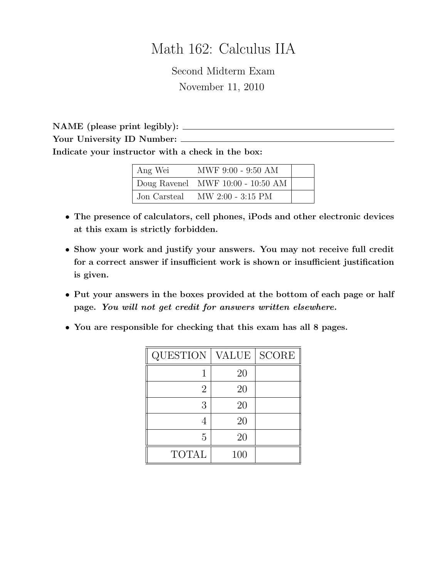# Math 162: Calculus IIA

Second Midterm Exam November 11, 2010

NAME (please print legibly): Your University ID Number: Indicate your instructor with a check in the box:

| Ang Wei      | MWF 9:00 - 9:50 AM                  |  |
|--------------|-------------------------------------|--|
|              | Doug Ravenel MWF $10:00 - 10:50$ AM |  |
| Jon Carsteal | $MW 2:00 - 3:15 PM$                 |  |

- The presence of calculators, cell phones, iPods and other electronic devices at this exam is strictly forbidden.
- Show your work and justify your answers. You may not receive full credit for a correct answer if insufficient work is shown or insufficient justification is given.
- Put your answers in the boxes provided at the bottom of each page or half page. You will not get credit for answers written elsewhere.
- You are responsible for checking that this exam has all 8 pages.

| <b>QUESTION</b> | <b>VALUE</b> | <b>SCORE</b> |
|-----------------|--------------|--------------|
|                 | 20           |              |
| $\overline{2}$  | 20           |              |
| 3               | 20           |              |
|                 | 20           |              |
| 5               | 20           |              |
| <b>TOTAL</b>    | 100          |              |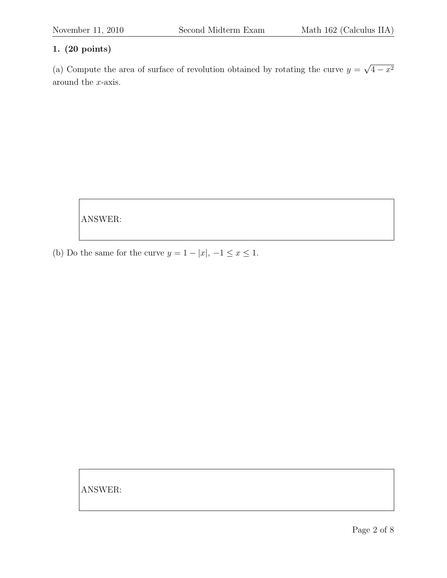(a) Compute the area of surface of revolution obtained by rotating the curve  $y =$ √  $4 - x^2$ around the x-axis.

ANSWER:

(b) Do the same for the curve  $y = 1 - |x|, -1 \le x \le 1$ .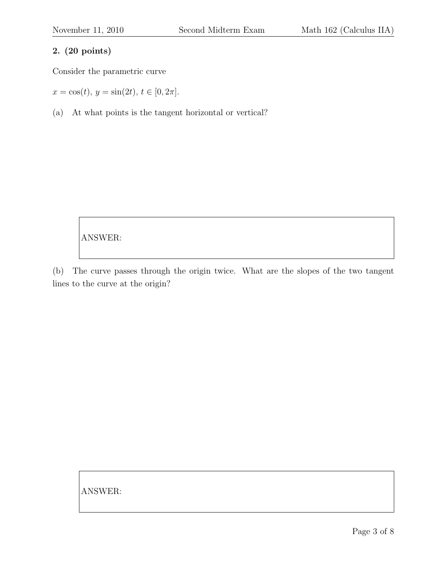Consider the parametric curve

 $x = \cos(t), y = \sin(2t), t \in [0, 2\pi].$ 

(a) At what points is the tangent horizontal or vertical?

ANSWER:

(b) The curve passes through the origin twice. What are the slopes of the two tangent lines to the curve at the origin?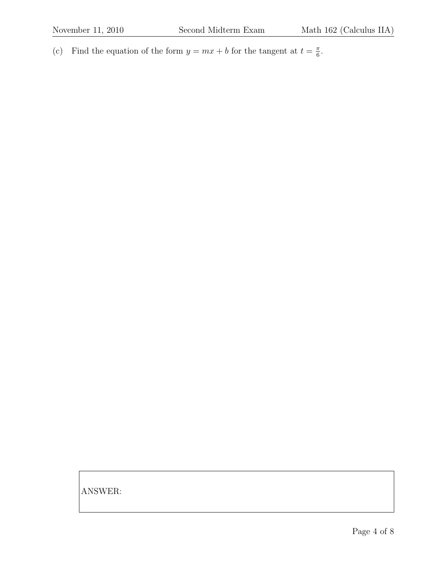(c) Find the equation of the form  $y = mx + b$  for the tangent at  $t = \frac{\pi}{6}$  $\frac{\pi}{6}$ .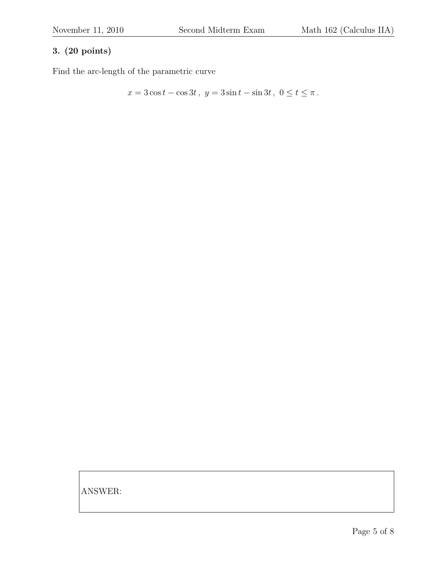Find the arc-length of the parametric curve

$$
x = 3\cos t - \cos 3t, \ y = 3\sin t - \sin 3t, \ 0 \le t \le \pi.
$$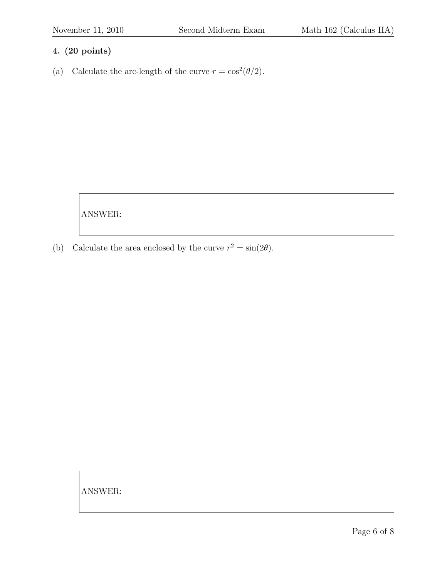(a) Calculate the arc-length of the curve  $r = \cos^2(\theta/2)$ .

ANSWER:

(b) Calculate the area enclosed by the curve  $r^2 = \sin(2\theta)$ .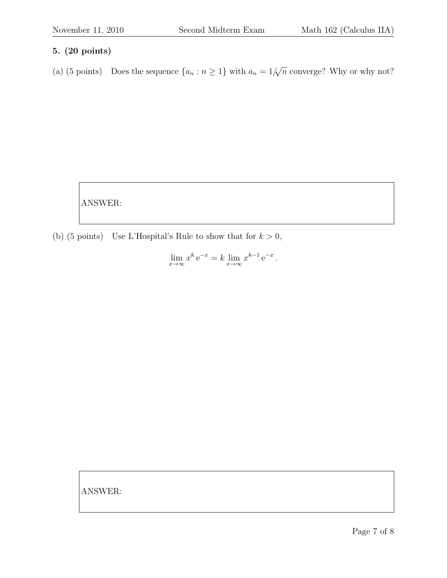(a) (5 points) Does the sequence  $\{a_n : n \geq 1\}$  with  $a_n = 1/2$  $√($  $\overline{n}$  converge? Why or why not?

ANSWER:

(b) (5 points) Use L'Hospital's Rule to show that for  $k > 0$ ,

 $\lim_{x \to \infty} x^k e^{-x} = k \lim_{x \to \infty} x^{k-1} e^{-x}.$